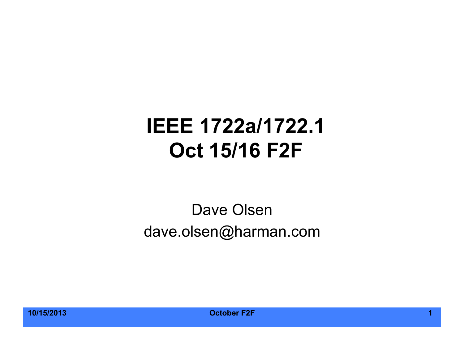#### **IEEE 1722a/1722.1 Oct 15/16 F2F**

#### Dave Olsen dave.olsen@harman.com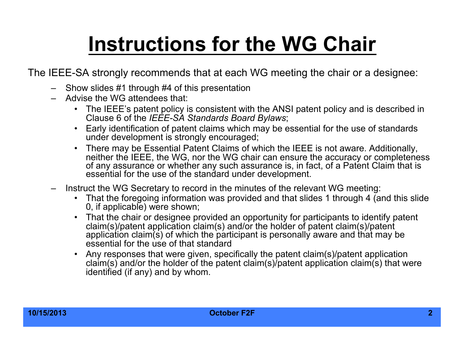# **Instructions for the WG Chair**

The IEEE-SA strongly recommends that at each WG meeting the chair or a designee:

- Show slides #1 through #4 of this presentation
- Advise the WG attendees that:
	- The IEEE's patent policy is consistent with the ANSI patent policy and is described in Clause 6 of the *IEEE-SA Standards Board Bylaws*;
	- Early identification of patent claims which may be essential for the use of standards under development is strongly encouraged:
	- There may be Essential Patent Claims of which the IEEE is not aware. Additionally, neither the IEEE, the WG, nor the WG chair can ensure the accuracy or completeness of any assurance or whether any such assurance is, in fact, of a Patent Claim that is essential for the use of the standard under development.
- Instruct the WG Secretary to record in the minutes of the relevant WG meeting:
	- That the foregoing information was provided and that slides 1 through 4 (and this slide 0, if applicable) were shown;
	- That the chair or designee provided an opportunity for participants to identify patent claim(s)/patent application claim(s) and/or the holder of patent claim(s)/patent application claim(s) of which the participant is personally aware and that may be essential for the use of that standard
	- Any responses that were given, specifically the patent claim(s)/patent application claim(s) and/or the holder of the patent claim(s)/patent application claim(s) that were identified (if any) and by whom.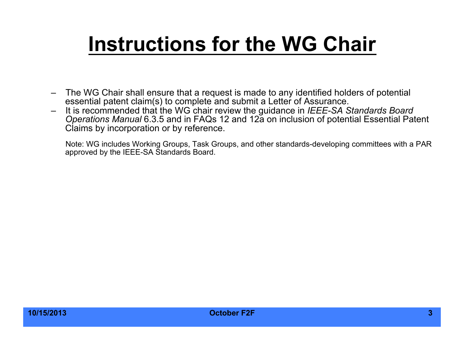# **Instructions for the WG Chair**

- The WG Chair shall ensure that a request is made to any identified holders of potential essential patent claim(s) to complete and submit a Letter of Assurance.
- It is recommended that the WG chair review the guidance in *IEEE-SA Standards Board Operations Manual* 6.3.5 and in FAQs 12 and 12a on inclusion of potential Essential Patent Claims by incorporation or by reference.

Note: WG includes Working Groups, Task Groups, and other standards-developing committees with a PAR approved by the IEEE-SA Standards Board.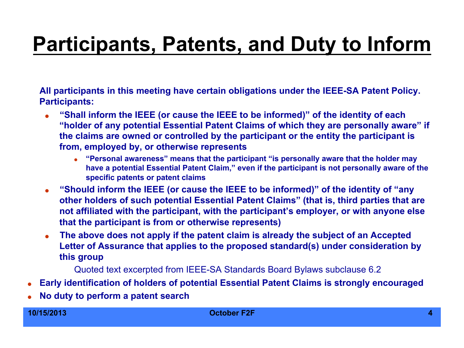# **Participants, Patents, and Duty to Inform**

**All participants in this meeting have certain obligations under the IEEE-SA Patent Policy. Participants:** 

- **"Shall inform the IEEE (or cause the IEEE to be informed)" of the identity of each "holder of any potential Essential Patent Claims of which they are personally aware" if the claims are owned or controlled by the participant or the entity the participant is from, employed by, or otherwise represents** 
	- **"Personal awareness" means that the participant "is personally aware that the holder may have a potential Essential Patent Claim," even if the participant is not personally aware of the specific patents or patent claims**
- **"Should inform the IEEE (or cause the IEEE to be informed)" of the identity of "any other holders of such potential Essential Patent Claims" (that is, third parties that are not affiliated with the participant, with the participant's employer, or with anyone else that the participant is from or otherwise represents)**
- **The above does not apply if the patent claim is already the subject of an Accepted Letter of Assurance that applies to the proposed standard(s) under consideration by this group**

Quoted text excerpted from IEEE-SA Standards Board Bylaws subclause 6.2

- **Early identification of holders of potential Essential Patent Claims is strongly encouraged**
- **No duty to perform a patent search**

#### **10/15/2013 October F2F 4**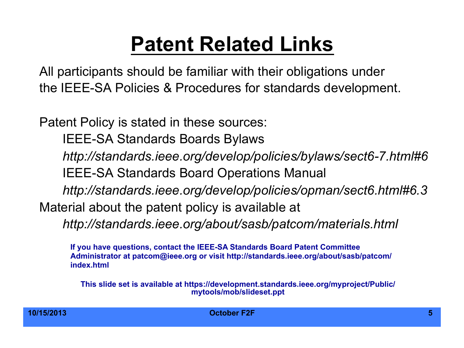### **Patent Related Links**

All participants should be familiar with their obligations under the IEEE-SA Policies & Procedures for standards development.

Patent Policy is stated in these sources:

IEEE-SA Standards Boards Bylaws

*http://standards.ieee.org/develop/policies/bylaws/sect6-7.html#6* 

IEEE-SA Standards Board Operations Manual

*http://standards.ieee.org/develop/policies/opman/sect6.html#6.3*

Material about the patent policy is available at

*http://standards.ieee.org/about/sasb/patcom/materials.html* 

**If you have questions, contact the IEEE-SA Standards Board Patent Committee Administrator at patcom@ieee.org or visit http://standards.ieee.org/about/sasb/patcom/ index.html** 

**This slide set is available at https://development.standards.ieee.org/myproject/Public/ mytools/mob/slideset.ppt**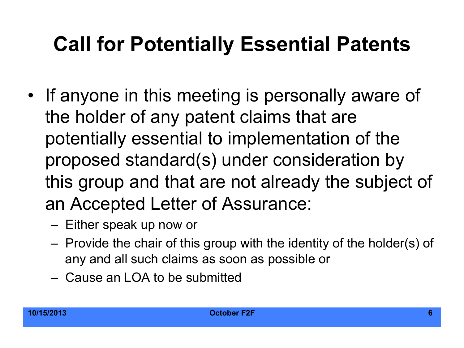### **Call for Potentially Essential Patents**

- If anyone in this meeting is personally aware of the holder of any patent claims that are potentially essential to implementation of the proposed standard(s) under consideration by this group and that are not already the subject of an Accepted Letter of Assurance:
	- Either speak up now or
	- Provide the chair of this group with the identity of the holder(s) of any and all such claims as soon as possible or
	- Cause an LOA to be submitted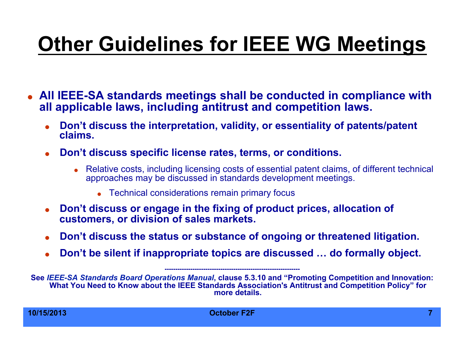# **Other Guidelines for IEEE WG Meetings**

- **All IEEE-SA standards meetings shall be conducted in compliance with all applicable laws, including antitrust and competition laws.** 
	- **Don't discuss the interpretation, validity, or essentiality of patents/patent claims.**
	- **Don't discuss specific license rates, terms, or conditions.** 
		- Relative costs, including licensing costs of essential patent claims, of different technical approaches may be discussed in standards development meetings.
			- Technical considerations remain primary focus
	- **Don't discuss or engage in the fixing of product prices, allocation of customers, or division of sales markets.**
	- **Don't discuss the status or substance of ongoing or threatened litigation.**
	- **Don't be silent if inappropriate topics are discussed … do formally object.**

**---------------------------------------------------------------** 

**See** *IEEE-SA Standards Board Operations Manual***, clause 5.3.10 and "Promoting Competition and Innovation: What You Need to Know about the IEEE Standards Association's Antitrust and Competition Policy" for more details.**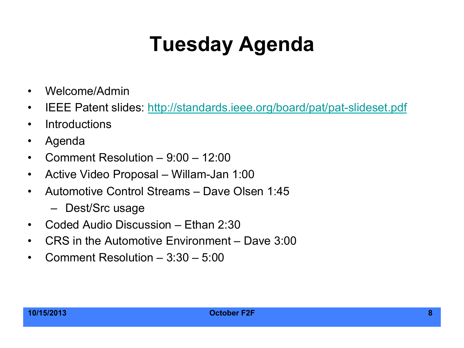# **Tuesday Agenda**

- Welcome/Admin
- IEEE Patent slides: http://standards.ieee.org/board/pat/pat-slideset.pdf
- Introductions
- Agenda
- Comment Resolution 9:00 12:00
- Active Video Proposal Willam-Jan 1:00
- Automotive Control Streams Dave Olsen 1:45
	- Dest/Src usage
- Coded Audio Discussion Ethan 2:30
- CRS in the Automotive Environment Dave 3:00
- Comment Resolution 3:30 5:00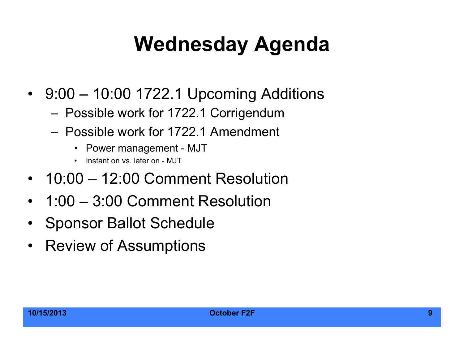### **Wednesday Agenda**

- 9:00 10:00 1722.1 Upcoming Additions
	- Possible work for 1722.1 Corrigendum
	- Possible work for 1722.1 Amendment
		- Power management MJT
		- Instant on vs. later on MJT
- 10:00 12:00 Comment Resolution
- 1:00 3:00 Comment Resolution
- Sponsor Ballot Schedule
- Review of Assumptions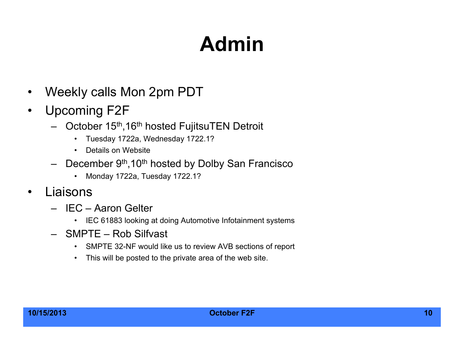# **Admin**

- Weekly calls Mon 2pm PDT
- Upcoming F2F
	- October 15th,16th hosted FujitsuTEN Detroit
		- Tuesday 1722a, Wednesday 1722.1?
		- Details on Website
	- $-$  December 9<sup>th</sup>, 10<sup>th</sup> hosted by Dolby San Francisco
		- Monday 1722a, Tuesday 1722.1?
- Liaisons
	- IEC Aaron Gelter
		- IEC 61883 looking at doing Automotive Infotainment systems
	- SMPTE Rob Silfvast
		- SMPTE 32-NF would like us to review AVB sections of report
		- This will be posted to the private area of the web site.